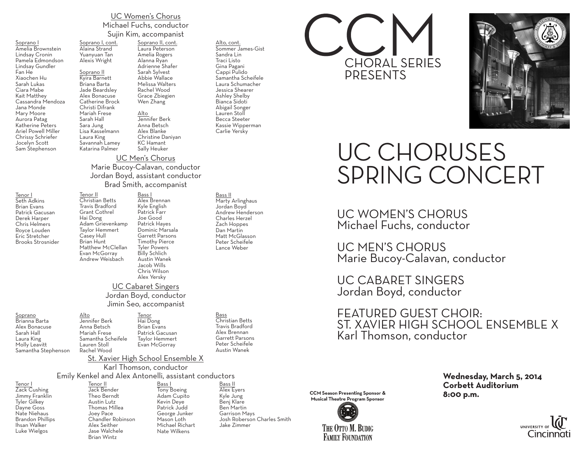## UC Women's Chorus Michael Fuchs, conductor Sujin Kim, accompanist

Soprano I Amelia Brownstein Lindsay Cronin Pamela Edmondson Lindsay Gundler Fan He Xiaochen Hu Sarah Lukas Ciara Mabe Kait Matthey Cassandra Mendoza Jana Monde Mary Moore Aurora Patag Katherine Peters Ariel Powell Miller Chrissy Schriefer Jocelyn Scott Sam Stephenson

Tenor I Seth Adkins Brian Evans Patrick Gacusan Derek Harper Chris Helmers Royce Louden Eric Stretcher Brooks Strosnider

Soprano Brianna Barta Alex Bonacuse Sarah Hall Laura King Molly Leavitt Samantha Stephenson

Tenor II Christian Betts Travis Bradford Grant Cothrel Hai Dong Adam Grievenkamp Taylor Hemmert Casey Hull Brian Hunt Matthew McClellan

Soprano I, cont. Alaina Strand Yuanyuan Tan Alexis Wright Soprano II Kyira Barnett Briana Barta Jade Beardsley Alex Bonacuse

Christi Difrank Mariah Frese Sarah Hall Sara Jung

Laura King

Katarina Palmer

Evan McGorray Andrew Weisbach

Catherine Brock Lisa Kasselmann Savannah Lamey Soprano II, cont. Laura Peterson Amelia Rogers Alanna Ryan Adrienne Shafer Sarah Sylvest Abbie Wallace Melissa Walters Rachel Wood Grace Zbiegien Wen Zhang Alto Jennifer Berk Anna Betsch Alex Blanke Christine Daniyan KC Hamant

#### Alto, cont.

Sommer James-Gist Sandra Lin Traci Listo Gina Pagani Cappi Pulido Samantha Scheifele Laura Schumacher Jessica Shearer Ashley Shelby Bianca Sidoti Abigail Songer Lauren Stoll Becca Steeter Kassie Wipperman Carlie Yersky

### Sally Heuker UC Men's Chorus

Marie Bucoy-Calavan, conductor Jordan Boyd, assistant conductor Brad Smith, accompanist

> <u>Bass I</u> Alex Brennan Kyle English Patrick Farr Joe Good Patrick Hayes Dominic Marsala Garrett Parsons Timothy Pierce Tyler Powers Billy Schlich Austin Wanek Jacob Wills Chris Wilson Alex Yersky

## UC Cabaret Singers Jordan Boyd, conductor Jimin Seo, accompanist

Alto Jennifer Berk Anna Betsch Mariah Frese Samantha Scheifele Lauren Stoll Rachel Wood Tenor Hai Dong Brian Evans Patrick Gacusan Taylor Hemmert Evan McGorray

Bass Christian Betts Travis Bradford Alex Brennan Garrett Parsons Peter Scheifele Austin Wanek

Bass II Marty Arlinghaus Jordan Boyd Andrew Henderson Charles Herzel Zach Hoppes Dan Martin Matt McGlasson Peter Scheifele Lance Weber

St. Xavier High School Ensemble X

## Karl Thomson, conductor

### Emily Kenkel and Alex Antonelli, assistant conductors

Tenor I Zack Cushing Jimmy Franklin Tyler Gilkey Dayne Goss Nate Niehaus Brandon Phillips Ihsan Walker Luke Wielgos

Tenor II Jack Bender Theo Berndt Austin Lutz Thomas Millea Joey Pace Chandler Robinson Alex Seither Jase Walchele Brian Wintz Bass I Tony Boeing Adam Cupito Kevin Deye Patrick Judd George Junker Mason Loth Michael Richart Nate Wilkens

Bass II Alex Eyers Kyle Jung Benj Klare Ben Martin Garrison Mays Josh Roberson Charles Smith Jake Zimmer





# UC CHORUSES SPRING CONCERT

UC WOMEN'S CHORUS Michael Fuchs, conductor

UC MEN'S CHORUS Marie Bucoy-Calavan, conductor

UC CABARET SINGERS Jordan Boyd, conductor

FEATURED GUEST CHOIR: ST. XAVIER HIGH SCHOOL ENSEMBLE X Karl Thomson, conductor



**Wednesday, March 5, 2014**<br>CCM Season Presenting Sponsor &<br>Musical Theatre Program Sponsor **8:00 p.m.**